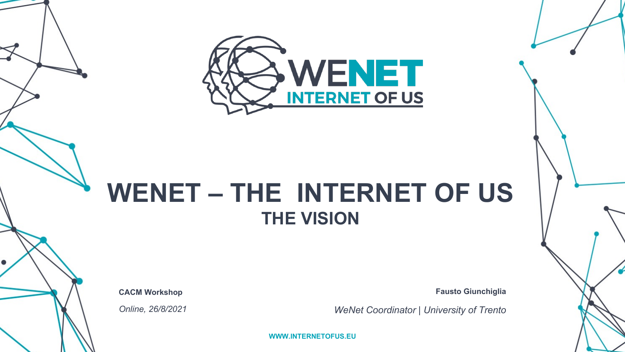

### **WENET – THE INTERNET OF US THE VISION**

**CACM Workshop**

*Online, 26/8/2021*

**Fausto Giunchiglia**

*WeNet Coordinator | University of Trento*

**WWW.INTERNETOFUS.EU**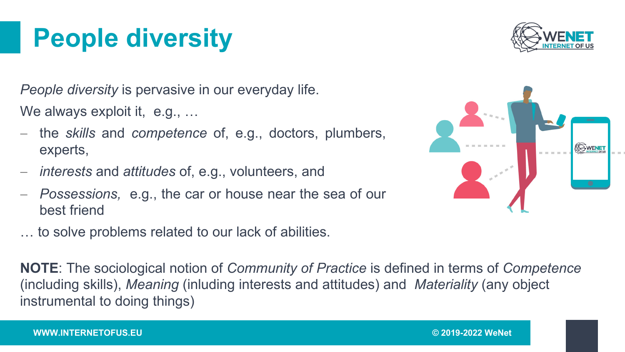## **People diversity**



**A WENET** 

*People diversity* is pervasive in our everyday life.

We always exploit it, e.g., ...

- the *skills* and *competence* of, e.g., doctors, plumbers, experts,
- *interests* and *attitudes* of, e.g., volunteers, and
- *Possessions,* e.g., the car or house near the sea of our best friend
- … to solve problems related to our lack of abilities.

**NOTE**: The sociological notion of *Community of Practice* is defined in terms of *Competence* (including skills), *Meaning* (inluding interests and attitudes) and *Materiality* (any object instrumental to doing things)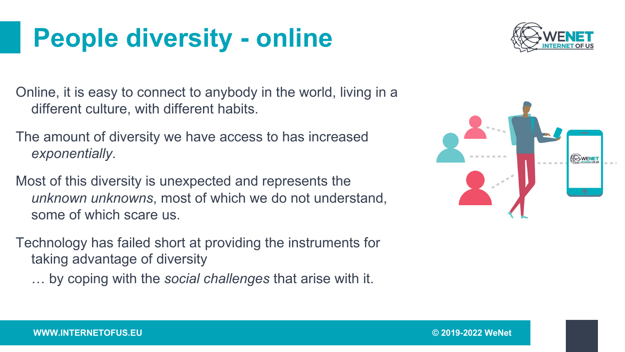### **People diversity - online**



Online, it is easy to connect to anybody in the world, living in a different culture, with different habits.

The amount of diversity we have access to has increased *exponentially*.

Most of this diversity is unexpected and represents the *unknown unknowns*, most of which we do not understand, some of which scare us.

Technology has failed short at providing the instruments for taking advantage of diversity

… by coping with the *social challenges* that arise with it.

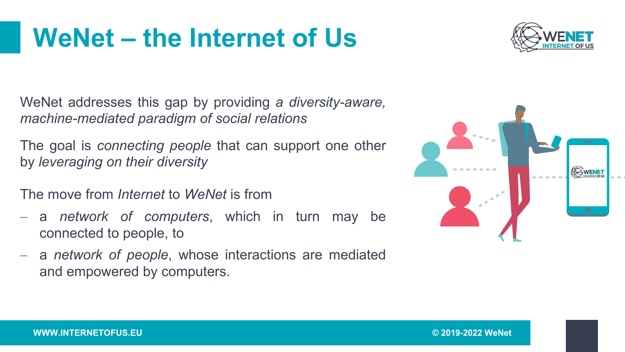### **WeNet – the Internet of Us**



WeNet addresses this gap by providing *a diversity-aware, machine-mediated paradigm of social relations*

The goal is *connecting people* that can support one other by *leveraging on their diversity*

The move from *Internet* to *WeNet* is from

- a *network of computers*, which in turn may be connected to people, to
- a *network of people*, whose interactions are mediated and empowered by computers.

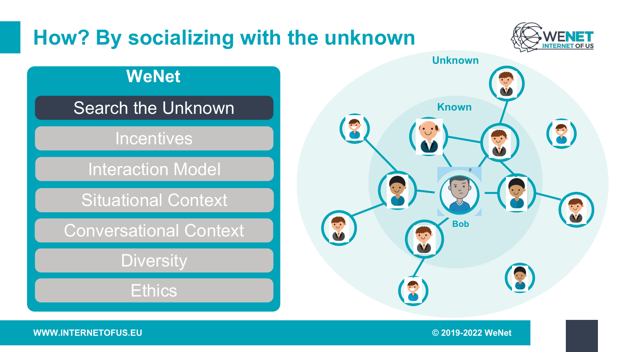

**VENET** TERNET OF U

 $\left( 8 \right)$ 

**WWW.INTERNETOFUS.EU © 2019-2022 WeNet**